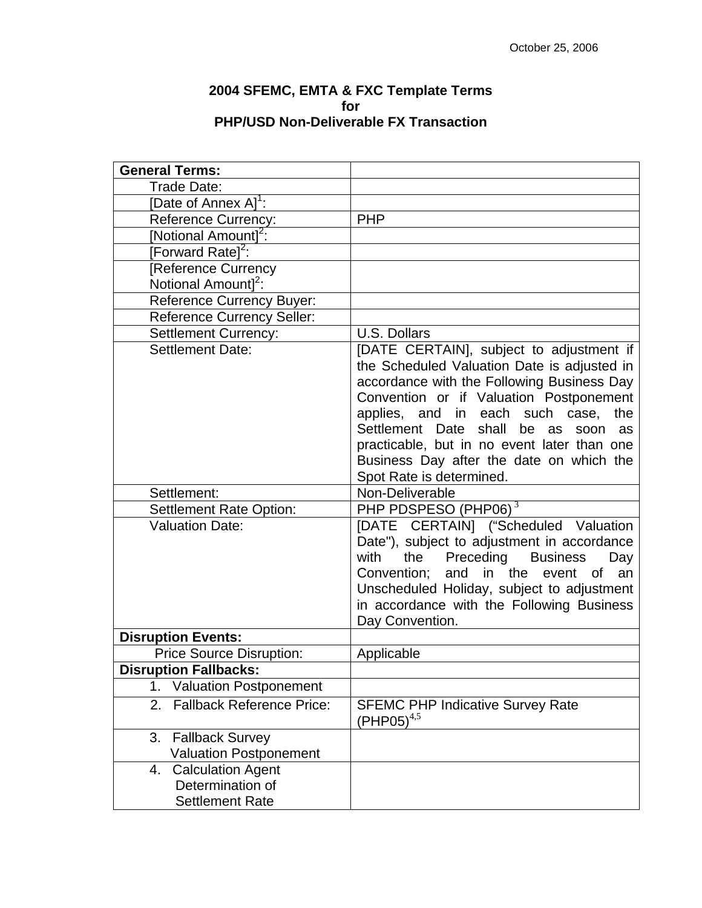## **2004 SFEMC, EMTA & FXC Template Terms for PHP/USD Non-Deliverable FX Transaction**

| <b>General Terms:</b>                                                        |                                                                                                                                                                                                                                                                                                                                                                                                      |
|------------------------------------------------------------------------------|------------------------------------------------------------------------------------------------------------------------------------------------------------------------------------------------------------------------------------------------------------------------------------------------------------------------------------------------------------------------------------------------------|
| Trade Date:                                                                  |                                                                                                                                                                                                                                                                                                                                                                                                      |
| [Date of Annex A] <sup>1</sup> :                                             |                                                                                                                                                                                                                                                                                                                                                                                                      |
| <b>Reference Currency:</b>                                                   | <b>PHP</b>                                                                                                                                                                                                                                                                                                                                                                                           |
| [Notional Amount] <sup>2</sup> :                                             |                                                                                                                                                                                                                                                                                                                                                                                                      |
| [Forward Rate] <sup>2</sup> :                                                |                                                                                                                                                                                                                                                                                                                                                                                                      |
| [Reference Currency<br>Notional Amount] <sup>2</sup> :                       |                                                                                                                                                                                                                                                                                                                                                                                                      |
| Reference Currency Buyer:                                                    |                                                                                                                                                                                                                                                                                                                                                                                                      |
| <b>Reference Currency Seller:</b>                                            |                                                                                                                                                                                                                                                                                                                                                                                                      |
| <b>Settlement Currency:</b>                                                  | U.S. Dollars                                                                                                                                                                                                                                                                                                                                                                                         |
| Settlement Date:                                                             | [DATE CERTAIN], subject to adjustment if<br>the Scheduled Valuation Date is adjusted in<br>accordance with the Following Business Day<br>Convention or if Valuation Postponement<br>applies, and in each such case, the<br>Settlement Date<br>shall<br>be<br>as<br>soon<br>as<br>practicable, but in no event later than one<br>Business Day after the date on which the<br>Spot Rate is determined. |
| Settlement:                                                                  | Non-Deliverable                                                                                                                                                                                                                                                                                                                                                                                      |
| <b>Settlement Rate Option:</b>                                               | PHP PDSPESO (PHP06) <sup>3</sup>                                                                                                                                                                                                                                                                                                                                                                     |
| <b>Valuation Date:</b>                                                       | [DATE CERTAIN] ("Scheduled Valuation<br>Date"), subject to adjustment in accordance<br>Preceding Business<br>with<br>the<br>Day<br>Convention;<br>and in the<br>event of<br>an<br>Unscheduled Holiday, subject to adjustment<br>in accordance with the Following Business<br>Day Convention.                                                                                                         |
| <b>Disruption Events:</b>                                                    |                                                                                                                                                                                                                                                                                                                                                                                                      |
| <b>Price Source Disruption:</b>                                              | Applicable                                                                                                                                                                                                                                                                                                                                                                                           |
| <b>Disruption Fallbacks:</b>                                                 |                                                                                                                                                                                                                                                                                                                                                                                                      |
| <b>Valuation Postponement</b><br>1.                                          |                                                                                                                                                                                                                                                                                                                                                                                                      |
| <b>Fallback Reference Price:</b><br>2.                                       | <b>SFEMC PHP Indicative Survey Rate</b><br>$(PHP05)^{4,5}$                                                                                                                                                                                                                                                                                                                                           |
| 3.<br><b>Fallback Survey</b><br><b>Valuation Postponement</b>                |                                                                                                                                                                                                                                                                                                                                                                                                      |
| <b>Calculation Agent</b><br>4.<br>Determination of<br><b>Settlement Rate</b> |                                                                                                                                                                                                                                                                                                                                                                                                      |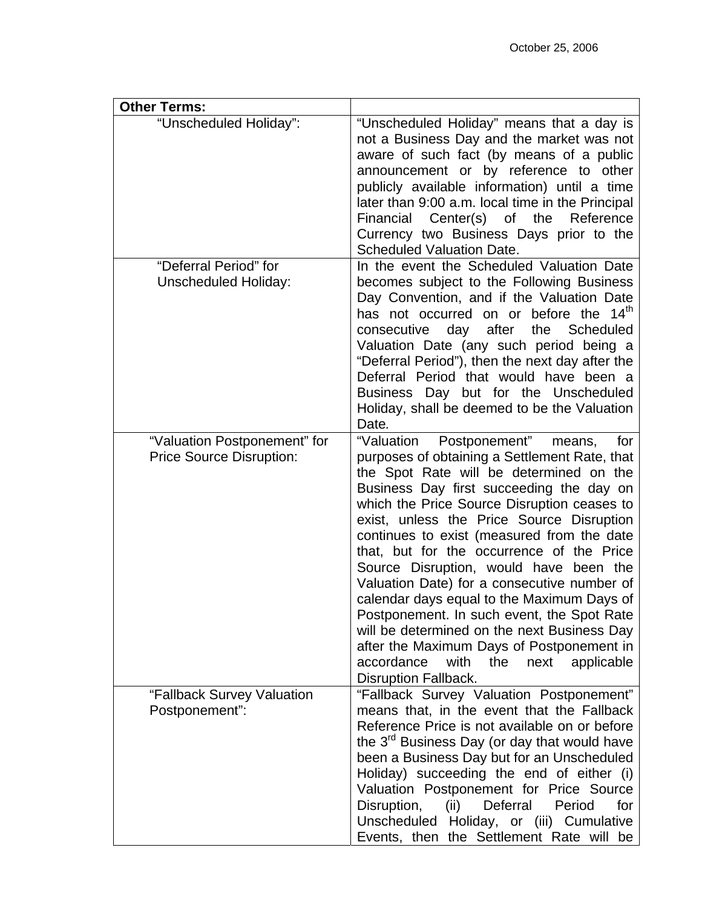| <b>Other Terms:</b>                                             |                                                                                                                                                                                                                                                                                                                                                                                                                                                                                                                                                                                                                                                                                                                                         |
|-----------------------------------------------------------------|-----------------------------------------------------------------------------------------------------------------------------------------------------------------------------------------------------------------------------------------------------------------------------------------------------------------------------------------------------------------------------------------------------------------------------------------------------------------------------------------------------------------------------------------------------------------------------------------------------------------------------------------------------------------------------------------------------------------------------------------|
| "Unscheduled Holiday":                                          | "Unscheduled Holiday" means that a day is<br>not a Business Day and the market was not<br>aware of such fact (by means of a public<br>announcement or by reference to other<br>publicly available information) until a time<br>later than 9:00 a.m. local time in the Principal<br>Financial Center(s) of the<br>Reference<br>Currency two Business Days prior to the<br>Scheduled Valuation Date.                                                                                                                                                                                                                                                                                                                                      |
| "Deferral Period" for<br><b>Unscheduled Holiday:</b>            | In the event the Scheduled Valuation Date<br>becomes subject to the Following Business<br>Day Convention, and if the Valuation Date<br>has not occurred on or before the 14 <sup>th</sup><br>day after<br>the Scheduled<br>consecutive<br>Valuation Date (any such period being a<br>"Deferral Period"), then the next day after the<br>Deferral Period that would have been a<br>Business Day but for the Unscheduled<br>Holiday, shall be deemed to be the Valuation<br>Date.                                                                                                                                                                                                                                                         |
| "Valuation Postponement" for<br><b>Price Source Disruption:</b> | "Valuation<br>Postponement"<br>means,<br>for<br>purposes of obtaining a Settlement Rate, that<br>the Spot Rate will be determined on the<br>Business Day first succeeding the day on<br>which the Price Source Disruption ceases to<br>exist, unless the Price Source Disruption<br>continues to exist (measured from the date<br>that, but for the occurrence of the Price<br>Source Disruption, would have been the<br>Valuation Date) for a consecutive number of<br>calendar days equal to the Maximum Days of<br>Postponement. In such event, the Spot Rate<br>will be determined on the next Business Day<br>after the Maximum Days of Postponement in<br>accordance<br>with<br>applicable<br>the<br>next<br>Disruption Fallback. |
| "Fallback Survey Valuation<br>Postponement":                    | "Fallback Survey Valuation Postponement"<br>means that, in the event that the Fallback<br>Reference Price is not available on or before<br>the 3 <sup>rd</sup> Business Day (or day that would have<br>been a Business Day but for an Unscheduled<br>Holiday) succeeding the end of either (i)<br>Valuation Postponement for Price Source<br>Disruption,<br>(ii) Deferral<br>Period<br>for<br>Unscheduled Holiday, or (iii) Cumulative<br>Events, then the Settlement Rate will be                                                                                                                                                                                                                                                      |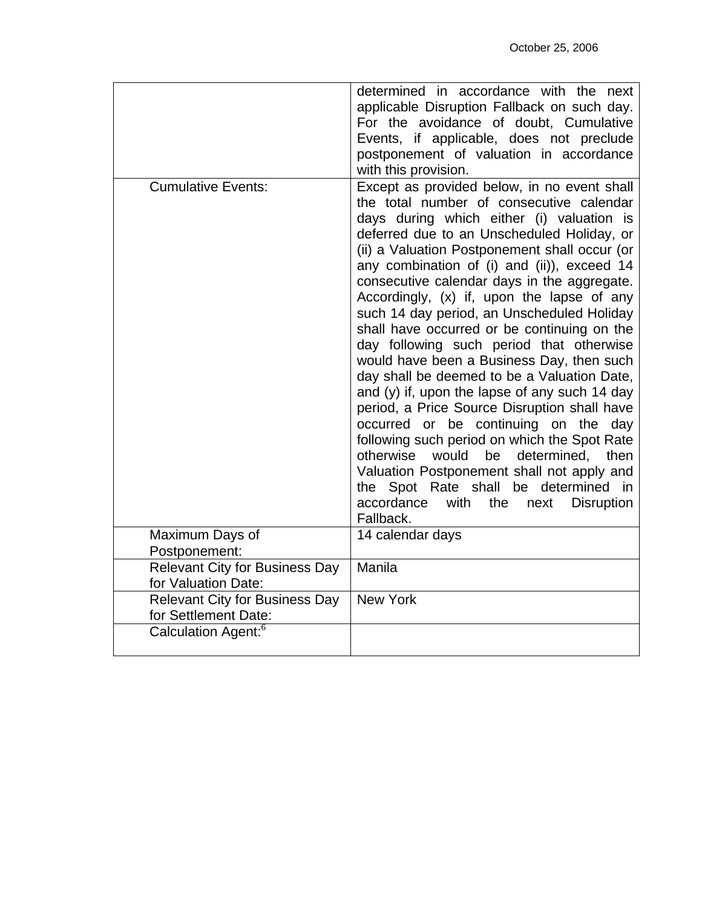|                                                               | determined in accordance with the next<br>applicable Disruption Fallback on such day.<br>For the avoidance of doubt, Cumulative<br>Events, if applicable, does not preclude<br>postponement of valuation in accordance<br>with this provision.                                                                                                                                                                                                                                                                                                                                                                                                                                                                                                                                                                                                                                                                                                                                                                            |
|---------------------------------------------------------------|---------------------------------------------------------------------------------------------------------------------------------------------------------------------------------------------------------------------------------------------------------------------------------------------------------------------------------------------------------------------------------------------------------------------------------------------------------------------------------------------------------------------------------------------------------------------------------------------------------------------------------------------------------------------------------------------------------------------------------------------------------------------------------------------------------------------------------------------------------------------------------------------------------------------------------------------------------------------------------------------------------------------------|
| <b>Cumulative Events:</b>                                     | Except as provided below, in no event shall<br>the total number of consecutive calendar<br>days during which either (i) valuation is<br>deferred due to an Unscheduled Holiday, or<br>(ii) a Valuation Postponement shall occur (or<br>any combination of (i) and (ii)), exceed 14<br>consecutive calendar days in the aggregate.<br>Accordingly, (x) if, upon the lapse of any<br>such 14 day period, an Unscheduled Holiday<br>shall have occurred or be continuing on the<br>day following such period that otherwise<br>would have been a Business Day, then such<br>day shall be deemed to be a Valuation Date,<br>and $(y)$ if, upon the lapse of any such 14 day<br>period, a Price Source Disruption shall have<br>occurred or be continuing on the day<br>following such period on which the Spot Rate<br>otherwise would be<br>determined,<br>then<br>Valuation Postponement shall not apply and<br>the Spot Rate shall be determined in<br>accordance<br>with<br>the<br>next<br><b>Disruption</b><br>Fallback. |
| Maximum Days of                                               | 14 calendar days                                                                                                                                                                                                                                                                                                                                                                                                                                                                                                                                                                                                                                                                                                                                                                                                                                                                                                                                                                                                          |
| Postponement:                                                 |                                                                                                                                                                                                                                                                                                                                                                                                                                                                                                                                                                                                                                                                                                                                                                                                                                                                                                                                                                                                                           |
| <b>Relevant City for Business Day</b><br>for Valuation Date:  | Manila                                                                                                                                                                                                                                                                                                                                                                                                                                                                                                                                                                                                                                                                                                                                                                                                                                                                                                                                                                                                                    |
| <b>Relevant City for Business Day</b><br>for Settlement Date: | <b>New York</b>                                                                                                                                                                                                                                                                                                                                                                                                                                                                                                                                                                                                                                                                                                                                                                                                                                                                                                                                                                                                           |
| Calculation Agent: <sup>6</sup>                               |                                                                                                                                                                                                                                                                                                                                                                                                                                                                                                                                                                                                                                                                                                                                                                                                                                                                                                                                                                                                                           |